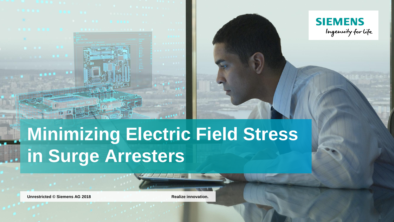



# **Minimizing Electric Field Stress in Surge Arresters**

**Unrestricted** © Siemens AG 2018 **Realize innovation.**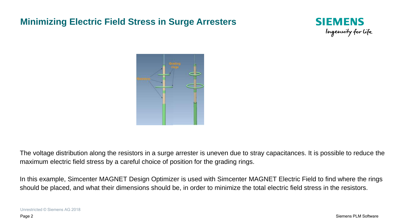#### **Minimizing Electric Field Stress in Surge Arresters**





The voltage distribution along the resistors in a surge arrester is uneven due to stray capacitances. It is possible to reduce the maximum electric field stress by a careful choice of position for the grading rings.

In this example, Simcenter MAGNET Design Optimizer is used with Simcenter MAGNET Electric Field to find where the rings should be placed, and what their dimensions should be, in order to minimize the total electric field stress in the resistors.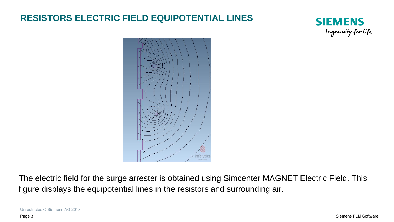# **RESISTORS ELECTRIC FIELD EQUIPOTENTIAL LINES**





The electric field for the surge arrester is obtained using Simcenter MAGNET Electric Field. This figure displays the equipotential lines in the resistors and surrounding air.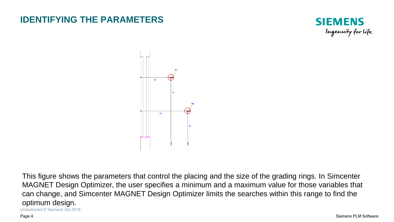#### **IDENTIFYING THE PARAMETERS**





Unrestricted © Siemens AG 2018 This figure shows the parameters that control the placing and the size of the grading rings. In Simcenter MAGNET Design Optimizer, the user specifies a minimum and a maximum value for those variables that can change, and Simcenter MAGNET Design Optimizer limits the searches within this range to find the optimum design.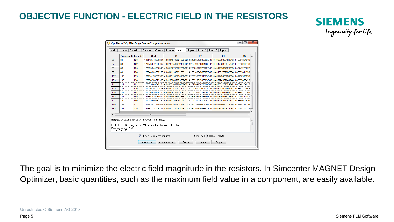### **OBJECTIVE FUNCTION - ELECTRIC FIELD IN THE RESISTORS**



| Model | Variables                                   | <b>Objectives</b>    | Optimize<br>Constraints                                                                                                                  | Progress | Report 5       | Report 4   Report 3   Report 2       | Report 1       |                                                                           |  |
|-------|---------------------------------------------|----------------------|------------------------------------------------------------------------------------------------------------------------------------------|----------|----------------|--------------------------------------|----------------|---------------------------------------------------------------------------|--|
|       |                                             | Solution ID Time (s) | Goal                                                                                                                                     |          | R <sub>1</sub> | R <sub>2</sub>                       | X <sub>1</sub> | <b>X2</b>                                                                 |  |
| 85    | 84                                          | 120                  | 128142.748396834 4.56021970092137E-02 4.34296518602383E-02 0.400390092489346 0.49251801319                                               |          |                |                                      |                |                                                                           |  |
| 87    | 86                                          | 122                  | 128073.042886797 4.59739156021219E-02 4.28242324060168E-02 0.401732383945722 0.48648900116                                               |          |                |                                      |                |                                                                           |  |
| 89    | 88                                          | 125                  | 127903.240790346 4.58511870566265E-02 4.22900512726222E-02 0.404717604323765 0.49747233852                                               |          |                |                                      |                |                                                                           |  |
| 90    | 89                                          | 126                  | 127746.600952226 0.046011940651599                                                                                                       |          |                |                                      |                | 4.25516334287907E-02 0.401861707682094 0.49939811920                      |  |
| 107   | 106                                         | 153                  | 127714.126332986; 4.60430159685023E-02; 4.25673550231523E-02; 0.402249463099604; 0.49958970978                                           |          |                |                                      |                |                                                                           |  |
| 109   | 108                                         | 156                  | 127706.964673339; 4.60183660767998E-02; 4.25651981905803E-02; 0.402724902040244; 0.49957878453                                           |          |                |                                      |                |                                                                           |  |
| 112   | 111                                         | 161                  | 127695.04334225                                                                                                                          |          |                |                                      |                | 4.60578145726473E-02 4.25224413072368E-02 0.402651252324742 0.49946134615 |  |
| 123   | 122                                         | 176                  | 127686.791341439 4.60530142681123E-02 4.25176502260123E-02 0.40262106400087                                                              |          |                |                                      |                | 0.49982168969                                                             |  |
| 128   | 127                                         | 184                  | 127686.058750133 0.046046764653595                                                                                                       |          |                | 4.25235611129126E-02 0.4026176149838 |                | 0.49999203768                                                             |  |
| 132   | 131                                         | 190                  | 127685.470964029 4.60463660696736E-02 4.25154677536689E-02 0.402590048636876 0.4999951984                                                |          |                |                                      |                |                                                                           |  |
| 137   | 136                                         | 196                  | 127683.686492293; 4.60534255914432E-02; 4.25133706413714E-02; 0.40258434114122                                                           |          |                |                                      |                | 0.49994601676                                                             |  |
| 160   | 159                                         | 227                  | 127683.511274906 4.60537192262444E-02 4.25133999960129E-02 0.402579690119056 0.49994175126                                               |          |                |                                      |                |                                                                           |  |
| 162   | 161                                         | 230                  | 127683.315905471: 4.60542335210297E-02: 4.25130031053861E-02: 0.402577522512083: 0.49994199218                                           |          |                |                                      |                |                                                                           |  |
| ∢     |                                             |                      | m.                                                                                                                                       |          |                |                                      |                |                                                                           |  |
|       | Program: ElecNet 7.2.0<br>Solver: Static 2D |                      | Optimization report 5 started on: 19/07/2011 9:57:09 AM<br>Model: C:\OptiNet\Surge Arrester\Surge Arrester initial model - to optinet.en |          |                |                                      |                |                                                                           |  |
|       |                                             |                      | Show only improved solutions                                                                                                             |          |                | Seed used: 58263.01171875            |                |                                                                           |  |

The goal is to minimize the electric field magnitude in the resistors. In Simcenter MAGNET Design Optimizer, basic quantities, such as the maximum field value in a component, are easily available.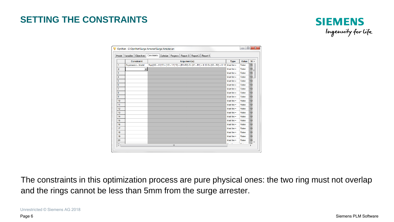# **SETTING THE CONSTRAINTS**



| Model                          | Objectives<br>Variables   | Constraints<br>Progress   Report 3   Report 2   Report 1<br>Optimize                       |                          |       |                 |
|--------------------------------|---------------------------|--------------------------------------------------------------------------------------------|--------------------------|-------|-----------------|
|                                | Constraint                | Argument(s)                                                                                | <b>Type</b>              | Value | $W -$           |
| 1                              | <b>Expression - Model</b> | Sqr((X2 - X1)^2 + (Y2 - Y1)^2) < (R1+R2) Or (X1 - R1) < 0.12 Or (X2 - R2) < 0.12 Must be = |                          | False | 10              |
| $\overline{2}$                 | $\overline{\phantom{a}}$  |                                                                                            | Must be $=$              | False | 10 <sub>l</sub> |
| 3                              |                           |                                                                                            | Must be $=$              | False | 10              |
| 4                              |                           |                                                                                            | Must be $=$              | False | 10 <sub>1</sub> |
| 5                              |                           |                                                                                            | Must be $=$              | False | 10              |
| 6                              |                           |                                                                                            | Must be $=$              | False | 10              |
| $\overline{7}$                 |                           |                                                                                            | Must be $=$              | False | 10 <sub>1</sub> |
| 8                              |                           |                                                                                            | Must be $=$              | False | 10              |
| 9                              |                           |                                                                                            | Must be $=$              | False | 10              |
| 10                             |                           |                                                                                            | Must be $=$              | False | 10              |
| 11                             |                           |                                                                                            | Must be $=$              | False | 10              |
| 12                             |                           |                                                                                            | $Must$ be $=$            | False | 10              |
| 13                             |                           |                                                                                            | Must be $=$              | False | 10              |
| 14                             |                           |                                                                                            | Must be $=$              | False | 10              |
| 15                             |                           |                                                                                            | Must be $=$              | False | 10              |
| 16                             |                           |                                                                                            | Must be $=$              | False | 10              |
| 17                             |                           |                                                                                            | Must be $=$              | False | 10 <sub>1</sub> |
| 18                             |                           |                                                                                            | Must be $=$              | False | 10              |
| 19                             |                           |                                                                                            | Must be $=$              | False | 10              |
| 20                             |                           |                                                                                            | Must be $=$              | False | 10              |
| A.<br>$\overline{\phantom{a}}$ |                           | m.                                                                                         | <br>$\ddot{\phantom{1}}$ | $-1$  | $\overline{1}$  |

The constraints in this optimization process are pure physical ones: the two ring must not overlap and the rings cannot be less than 5mm from the surge arrester.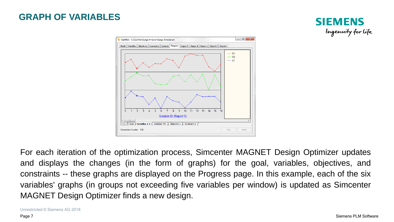#### **GRAPH OF VARIABLES**





For each iteration of the optimization process, Simcenter MAGNET Design Optimizer updates and displays the changes (in the form of graphs) for the goal, variables, objectives, and constraints -- these graphs are displayed on the Progress page. In this example, each of the six variables' graphs (in groups not exceeding five variables per window) is updated as Simcenter MAGNET Design Optimizer finds a new design.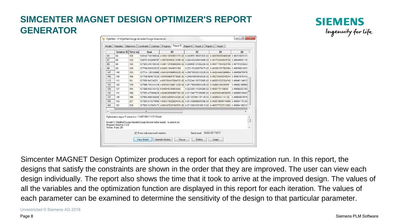# **SIMCENTER MAGNET DESIGN OPTIMIZER'S REPORT GENERATOR**

|     | Solution ID Time (s)                                                           |     | Goal                               |                                    | R <sub>1</sub> | R <sub>2</sub> | X <sub>1</sub>                                                                                 | <b>X2</b>     |  |
|-----|--------------------------------------------------------------------------------|-----|------------------------------------|------------------------------------|----------------|----------------|------------------------------------------------------------------------------------------------|---------------|--|
| 85  | 84                                                                             | 120 |                                    |                                    |                |                | 128142.748396834 4.56021970092137E-02 4.34296518602383E-02 0.400390092489346 0.49251801319     |               |  |
| 87  | 86                                                                             | 122 |                                    |                                    |                |                | 128073.042886797 4.59739156021219E-02 4.28242324060168E-02 0.401732383945722 0.48648900116     |               |  |
| 89  | 88                                                                             | 125 |                                    |                                    |                |                | 127903.240790346; 4.58511870566265E-02; 4.22900512726222E-02; 0.404717604323765; 0.49747233852 |               |  |
| 90  | 89                                                                             | 126 |                                    | 127746.600952226 0.046011940651599 |                |                | 4.25516334287907E-02 0.401861707682094 0.49939811920                                           |               |  |
| 107 | 106                                                                            | 153 |                                    |                                    |                |                | 127714.126332986; 4.60430159685023E-02; 4.25673550231523E-02; 0.402249463099604; 0.4995897     |               |  |
| 109 | 108                                                                            | 156 |                                    |                                    |                |                | 127706.964673339: 4.60183660767998E-02: 4.25651981905803E-02: 0.402724902040244: 0.49957878453 |               |  |
| 112 | 111                                                                            | 161 | 127695.04334225                    |                                    |                |                | 4.60578145726473E-02i 4.25224413072368E-02i 0.402651252324742i 0.49946134615                   |               |  |
| 123 | 122                                                                            | 176 |                                    |                                    |                |                | 127686.791341439 4.60530142681123E-02 4.25176502260123E-02 0.40262106400087                    | 0.49982168969 |  |
| 128 | 127                                                                            | 184 | 127686.058750133 0.046046764653595 |                                    |                |                | 4.25235611129126E-02 0.4026176149838                                                           | 049999203768  |  |
| 132 | 131                                                                            | 190 |                                    |                                    |                |                | 127685.470964029; 4.60463660696736E-02; 4.25154677536689E-02; 0.402590048636876; 0.4999951984; |               |  |
| 137 | 136                                                                            | 196 |                                    |                                    |                |                | 127683.686492293; 4.60534255914432E-02; 4.25133706413714E-02; 0.40258434114122                 | 049994601676  |  |
| 160 | 159                                                                            | 227 |                                    |                                    |                |                | 127683.511274906} 4.60537192262444F-02} 4.25133999960129F-02} 0.402579690119056}               | 049994175126  |  |
| 162 | 161                                                                            | 230 |                                    |                                    |                |                | 127683.315905471: 4.60542335210297E-02: 4.25130031053861E-02: 0.402577522512083: 0.49994199218 |               |  |
|     |                                                                                |     |                                    |                                    |                |                |                                                                                                |               |  |
| ∢   |                                                                                |     | ш                                  |                                    |                |                |                                                                                                |               |  |
|     | Optimization report 5 started on: 19/07/2011 9:57:09 AM                        |     |                                    |                                    |                |                |                                                                                                |               |  |
|     | Model: C:\OptiNet\Surge Arrester\Surge Arrester initial model - to optinet.en. |     |                                    |                                    |                |                |                                                                                                |               |  |
|     | Program: ElecNet 7.2.0<br>Solver: Static 2D                                    |     |                                    |                                    |                |                |                                                                                                |               |  |
|     |                                                                                |     | Show only improved solutions       |                                    |                |                | Seed used: 58263.01171875                                                                      |               |  |



Simcenter MAGNET Design Optimizer produces a report for each optimization run. In this report, the designs that satisfy the constraints are shown in the order that they are improved. The user can view each design individually. The report also shows the time that it took to arrive at the improved design. The values of all the variables and the optimization function are displayed in this report for each iteration. The values of each parameter can be examined to determine the sensitivity of the design to that particular parameter.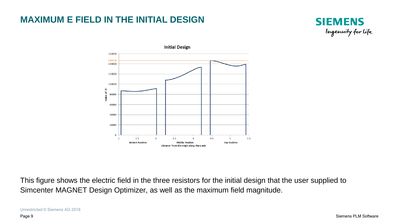## **MAXIMUM E FIELD IN THE INITIAL DESIGN**





This figure shows the electric field in the three resistors for the initial design that the user supplied to Simcenter MAGNET Design Optimizer, as well as the maximum field magnitude.